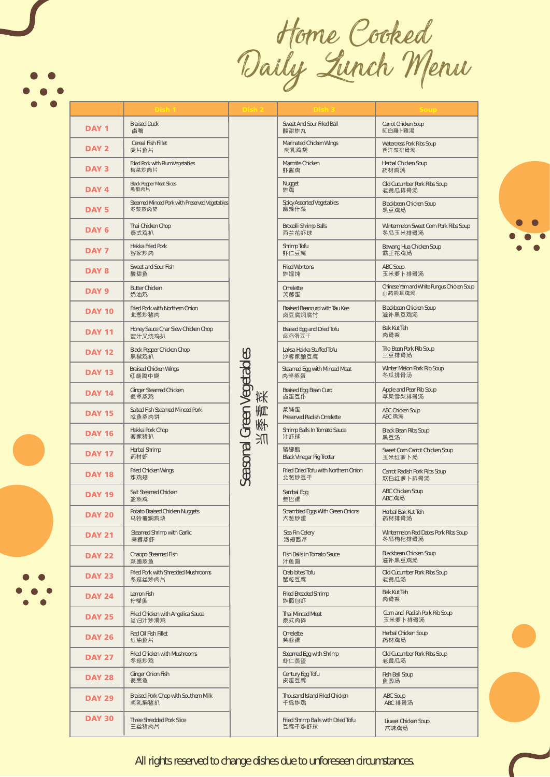Home Cooked Daily Lunch Menu

Dish 1 Dish 2 Dish 3 Soup

| <b>DAY1</b>      | <b>Braised Duck</b><br>鹵鴨                              |  |
|------------------|--------------------------------------------------------|--|
| <b>DAY 2</b>     | Cereal Fish Fillet<br>麦片鱼片                             |  |
| <b>DAY3</b>      | Fried Pork with Plum Vegetables<br>梅菜炒肉片               |  |
| DAY 4            | <b>Black Pepper Meat Slices</b><br>黑椒肉片                |  |
| <b>DAY 5</b>     | Steamed Minced Pork with Preserved Vegetables<br>冬菜蒸肉碎 |  |
| DAY <sub>6</sub> | Thai Chicken Chop<br>泰式鸡扒                              |  |
| DAY <sub>7</sub> | Hakka Fried Pork<br>客家炒肉                               |  |
| DAY 8            | Sweet and Sour Fish<br>酸甜鱼                             |  |
| DAY <sub>9</sub> | <b>Butter Chicken</b><br>奶油鸡                           |  |
| <b>DAY 10</b>    | Fried Pork with Northern Onion<br>北葱炒猪肉                |  |
| <b>DAY 11</b>    | Honey Sauce Char Siew Chicken Chop<br>蜜汁叉烧鸡扒           |  |
| <b>DAY 12</b>    | Black Pepper Chicken Chop<br>黑椒鸡扒                      |  |
| <b>DAY 13</b>    | <b>Braised Chicken Wings</b><br>红烧鸡中翅                  |  |
| <b>DAY 14</b>    | Ginger Steamed Chicken<br>姜草蒸鸡                         |  |
| <b>DAY 15</b>    | Salted Fish Steamed Minced Pork<br>咸鱼蒸肉饼               |  |
| <b>DAY 16</b>    | Hakka Pork Chop<br>客家猪扒                                |  |
| <b>DAY 17</b>    | Herbal Shrimp<br>药材虾                                   |  |
| <b>DAY 18</b>    | Fried Chicken Wings<br>炸鸡翅                             |  |
| <b>DAY 19</b>    | Salt Steamed Chicken<br>盐蒸鸡                            |  |
| <b>DAY 20</b>    | Potato Braised Chicken Nuggets<br>马铃薯焖鸡块               |  |
| <b>DAY 21</b>    | Steamed Shrimp with Garlic<br>蒜蓉蒸虾                     |  |
| <b>DAY 22</b>    | Chaopo Steamed Fish<br>菜圃蒸鱼                            |  |
| <b>DAY 23</b>    | Fried Pork with Shredded Mushrooms<br>冬菇丝炒肉片           |  |
| <b>DAY 24</b>    | Lemon Fish<br>柠檬鱼                                      |  |
| <b>DAY 25</b>    | Fried Chicken with Angelica Sauce<br>当归汁炒滑鸡            |  |
| <b>DAY 26</b>    | Red Oil Fish Fillet<br>红油鱼片                            |  |
| <b>DAY 27</b>    | Fried Chicken with Mushrooms<br>冬菇炒鸡                   |  |
| <b>DAY 28</b>    | Ginger Onion Fish<br>姜葱鱼                               |  |
| <b>DAY 29</b>    | Braised Pork Chop with Southern Milk<br>南乳焖猪扒          |  |
| <b>DAY 30</b>    | Three Shredded Pork Slice<br>三丝猪肉片                     |  |

| Sweet And Sour Fried Ball            | Carrot Chicken Soup                       |  |  |
|--------------------------------------|-------------------------------------------|--|--|
| 酸甜炸丸                                 | 紅白羅ト雞湯                                    |  |  |
| Marinated Chicken Wings              | Watercress Pork Ribs Soup                 |  |  |
| 南乳,鸡翅                                | 西洋菜排骨汤                                    |  |  |
| Marmite Chicken                      | Herbal Chicken Soup                       |  |  |
| 虾酱鸡                                  | 药材鸡汤                                      |  |  |
| Nugget                               | Old Cucumber Pork Ribs Soup               |  |  |
| 炸鸡                                   | 老黄瓜排骨汤                                    |  |  |
| <b>Spicy Assorted Vegetables</b>     | Blackbean Chicken Soup                    |  |  |
| 麻辣什菜                                 | 黑豆鸡汤                                      |  |  |
| Brocolli Shrimp Balls                | Wintermelon Sweet Corn Pork Ribs Soup     |  |  |
| 西兰花虾球                                | 冬瓜玉米排骨汤                                   |  |  |
| Shrimp Tofu                          | Bawang Hua Chicken Soup                   |  |  |
| 虾仁豆腐                                 | 霸王花鸡汤                                     |  |  |
| <b>Fried Wontons</b>                 | <b>ABC Soup</b>                           |  |  |
| 炸馄饨                                  | 玉米萝卜排骨汤                                   |  |  |
| Omelette                             | Chinese Yam and White Fungus Chicken Soup |  |  |
| 芙蓉蛋                                  | 山药银耳鸡汤                                    |  |  |
| Braised Beancurd with Tau Kee        | Blackbean Chicken Soup                    |  |  |
| 卤豆腐焖腐竹                               | 滋补黑豆鸡汤                                    |  |  |
| Braised Egg and Dried Tofu           | <b>Bak Kut Teh</b>                        |  |  |
| 卤鸡蛋豆干                                | 肉骨茶                                       |  |  |
| Laksa Hakka Stuffed Tofu             | Trio Bean Pork Rib Soup                   |  |  |
| 沙客家酿豆腐                               | 三豆排骨汤                                     |  |  |
| Steamed Egg with Minced Meat         | Winter Melon Pork Rib Soup                |  |  |
| 肉碎蒸蛋                                 | 冬瓜排骨汤                                     |  |  |
| Braised Egg Bean Curd                | Apple and Pear Rib Soup                   |  |  |
| 卤蛋豆仆                                 | 苹果雪梨排骨汤                                   |  |  |
| 菜脯蛋                                  | ABC Chicken Soup                          |  |  |
| Preserved Radish Omelette            | ABC 鸡汤                                    |  |  |
| Shrimp Balls In Tomato Sauce         | <b>Black Bean Ribs Soup</b>               |  |  |
| 汁虾球                                  | 黑豆汤                                       |  |  |
| 猪脚醋                                  | Sweet Corn Carrot Chicken Soup            |  |  |
| Black Vinegar Pig Trotter            | 玉米红萝卜汤                                    |  |  |
| Fried Dried Tofu with Northern Onion | Carrot Radish Pork Ribs Soup              |  |  |
| 北葱炒豆干                                | 双白红萝卜排骨汤                                  |  |  |
| Sambal Egg                           | ABC Chicken Soup                          |  |  |
| 叁巴蛋                                  | ABC 鸡汤                                    |  |  |
| Scrambled Eggs With Green Onions     | Herbal Bak Kut Teh                        |  |  |
| 大葱炒蛋                                 | 药材排骨汤                                     |  |  |
| Sea Fin Celery                       | Wintermelon Red Dates Pork Ribs Soup      |  |  |
| 海翅西芹                                 | 冬瓜枸杞排骨汤                                   |  |  |
| Fish Balls in Tomato Sauce           | Blackbean Chicken Soup                    |  |  |
| 汁鱼圆                                  | 滋补黑豆鸡汤                                    |  |  |
| Crab bites Tofu                      | Old Cucumber Pork Ribs Soup               |  |  |
| 蟹粒豆腐                                 | 老黄瓜汤                                      |  |  |
| Fried Breaded Shrimp                 | <b>Bak Kut Teh</b>                        |  |  |
| 炸面包虾                                 | 肉骨茶                                       |  |  |
| Thai Minced Meat                     | Corn and Radish Pork Rib Soup             |  |  |
| 泰式肉碎                                 | 玉米萝卜排骨汤                                   |  |  |
| Omelette                             | Herbal Chicken Soup                       |  |  |
| 芙蓉蛋                                  | 药材鸡汤                                      |  |  |
| Steamed Egg with Shrimp              | Old Cucumber Pork Ribs Soup               |  |  |
| 虾仁蒸蛋                                 | 老黄瓜汤                                      |  |  |
| Century Egg Tofu                     | Fish Ball Soup                            |  |  |
| 皮蛋豆腐                                 | 鱼圆汤                                       |  |  |
| Thousand Island Fried Chicken        | ABC Soup                                  |  |  |
| 千岛炸鸡                                 | ABC 排骨汤                                   |  |  |
| Fried Shrimp Balls with Dried Tofu   | Liuwei Chicken Soup                       |  |  |
| 豆腐干炸虾球                               | 六味鸡汤                                      |  |  |



All rights reserved to change dishes due to unforeseen circumstances.

Seasonal Green Vegetables Seasonal Green Vegetables<br>当季青菜